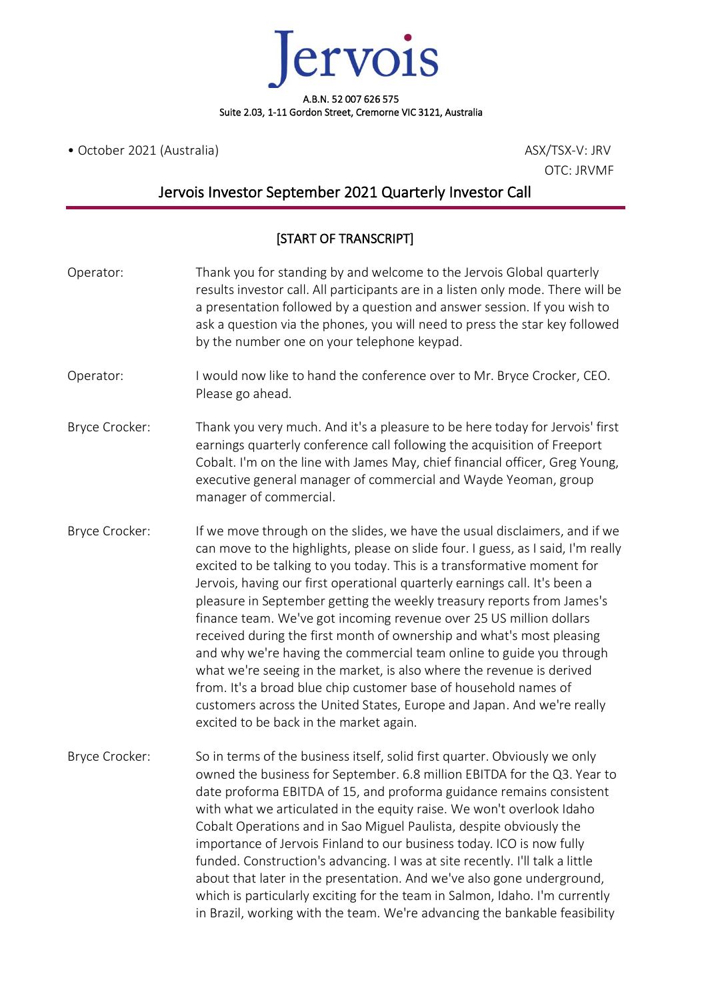ervois A.B.N. 52 007 626 575 Suite 2.03, 1-11 Gordon Street, Cremorne VIC 3121, Australia

• October 2021 (Australia) and a set of the ASX/TSX-V: JRV

OTC: JRVMF

## Jervois Investor September 2021 Quarterly Investor Call

## [START OF TRANSCRIPT]

| Operator:      | Thank you for standing by and welcome to the Jervois Global quarterly<br>results investor call. All participants are in a listen only mode. There will be<br>a presentation followed by a question and answer session. If you wish to<br>ask a question via the phones, you will need to press the star key followed<br>by the number one on your telephone keypad.                                                                                                                                                                                                                                                                                                                                                                                                                                                                                                                         |
|----------------|---------------------------------------------------------------------------------------------------------------------------------------------------------------------------------------------------------------------------------------------------------------------------------------------------------------------------------------------------------------------------------------------------------------------------------------------------------------------------------------------------------------------------------------------------------------------------------------------------------------------------------------------------------------------------------------------------------------------------------------------------------------------------------------------------------------------------------------------------------------------------------------------|
| Operator:      | I would now like to hand the conference over to Mr. Bryce Crocker, CEO.<br>Please go ahead.                                                                                                                                                                                                                                                                                                                                                                                                                                                                                                                                                                                                                                                                                                                                                                                                 |
| Bryce Crocker: | Thank you very much. And it's a pleasure to be here today for Jervois' first<br>earnings quarterly conference call following the acquisition of Freeport<br>Cobalt. I'm on the line with James May, chief financial officer, Greg Young,<br>executive general manager of commercial and Wayde Yeoman, group<br>manager of commercial.                                                                                                                                                                                                                                                                                                                                                                                                                                                                                                                                                       |
| Bryce Crocker: | If we move through on the slides, we have the usual disclaimers, and if we<br>can move to the highlights, please on slide four. I guess, as I said, I'm really<br>excited to be talking to you today. This is a transformative moment for<br>Jervois, having our first operational quarterly earnings call. It's been a<br>pleasure in September getting the weekly treasury reports from James's<br>finance team. We've got incoming revenue over 25 US million dollars<br>received during the first month of ownership and what's most pleasing<br>and why we're having the commercial team online to guide you through<br>what we're seeing in the market, is also where the revenue is derived<br>from. It's a broad blue chip customer base of household names of<br>customers across the United States, Europe and Japan. And we're really<br>excited to be back in the market again. |
| Bryce Crocker: | So in terms of the business itself, solid first quarter. Obviously we only<br>owned the business for September. 6.8 million EBITDA for the Q3. Year to<br>date proforma EBITDA of 15, and proforma guidance remains consistent<br>with what we articulated in the equity raise. We won't overlook Idaho<br>Cobalt Operations and in Sao Miguel Paulista, despite obviously the<br>importance of Jervois Finland to our business today. ICO is now fully<br>funded. Construction's advancing. I was at site recently. I'll talk a little<br>about that later in the presentation. And we've also gone underground,<br>which is particularly exciting for the team in Salmon, Idaho. I'm currently<br>in Brazil, working with the team. We're advancing the bankable feasibility                                                                                                              |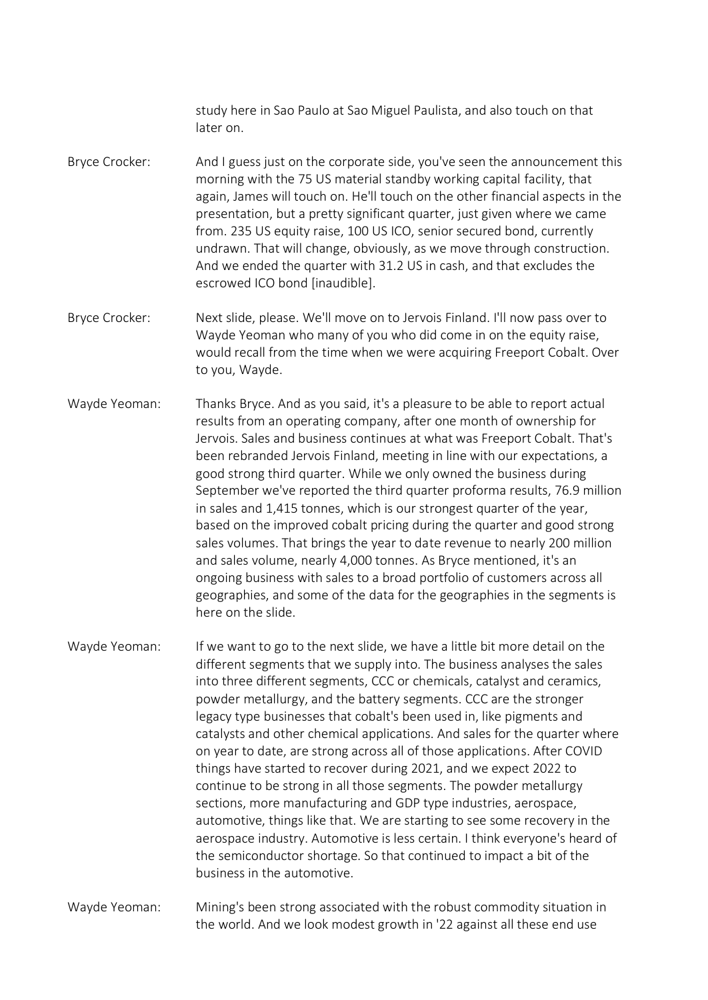study here in Sao Paulo at Sao Miguel Paulista, and also touch on that later on.

- Bryce Crocker: And I guess just on the corporate side, you've seen the announcement this morning with the 75 US material standby working capital facility, that again, James will touch on. He'll touch on the other financial aspects in the presentation, but a pretty significant quarter, just given where we came from. 235 US equity raise, 100 US ICO, senior secured bond, currently undrawn. That will change, obviously, as we move through construction. And we ended the quarter with 31.2 US in cash, and that excludes the escrowed ICO bond [inaudible].
- Bryce Crocker: Next slide, please. We'll move on to Jervois Finland. I'll now pass over to Wayde Yeoman who many of you who did come in on the equity raise, would recall from the time when we were acquiring Freeport Cobalt. Over to you, Wayde.
- Wayde Yeoman: Thanks Bryce. And as you said, it's a pleasure to be able to report actual results from an operating company, after one month of ownership for Jervois. Sales and business continues at what was Freeport Cobalt. That's been rebranded Jervois Finland, meeting in line with our expectations, a good strong third quarter. While we only owned the business during September we've reported the third quarter proforma results, 76.9 million in sales and 1,415 tonnes, which is our strongest quarter of the year, based on the improved cobalt pricing during the quarter and good strong sales volumes. That brings the year to date revenue to nearly 200 million and sales volume, nearly 4,000 tonnes. As Bryce mentioned, it's an ongoing business with sales to a broad portfolio of customers across all geographies, and some of the data for the geographies in the segments is here on the slide.
- Wayde Yeoman: If we want to go to the next slide, we have a little bit more detail on the different segments that we supply into. The business analyses the sales into three different segments, CCC or chemicals, catalyst and ceramics, powder metallurgy, and the battery segments. CCC are the stronger legacy type businesses that cobalt's been used in, like pigments and catalysts and other chemical applications. And sales for the quarter where on year to date, are strong across all of those applications. After COVID things have started to recover during 2021, and we expect 2022 to continue to be strong in all those segments. The powder metallurgy sections, more manufacturing and GDP type industries, aerospace, automotive, things like that. We are starting to see some recovery in the aerospace industry. Automotive is less certain. I think everyone's heard of the semiconductor shortage. So that continued to impact a bit of the business in the automotive.

Wayde Yeoman: Mining's been strong associated with the robust commodity situation in the world. And we look modest growth in '22 against all these end use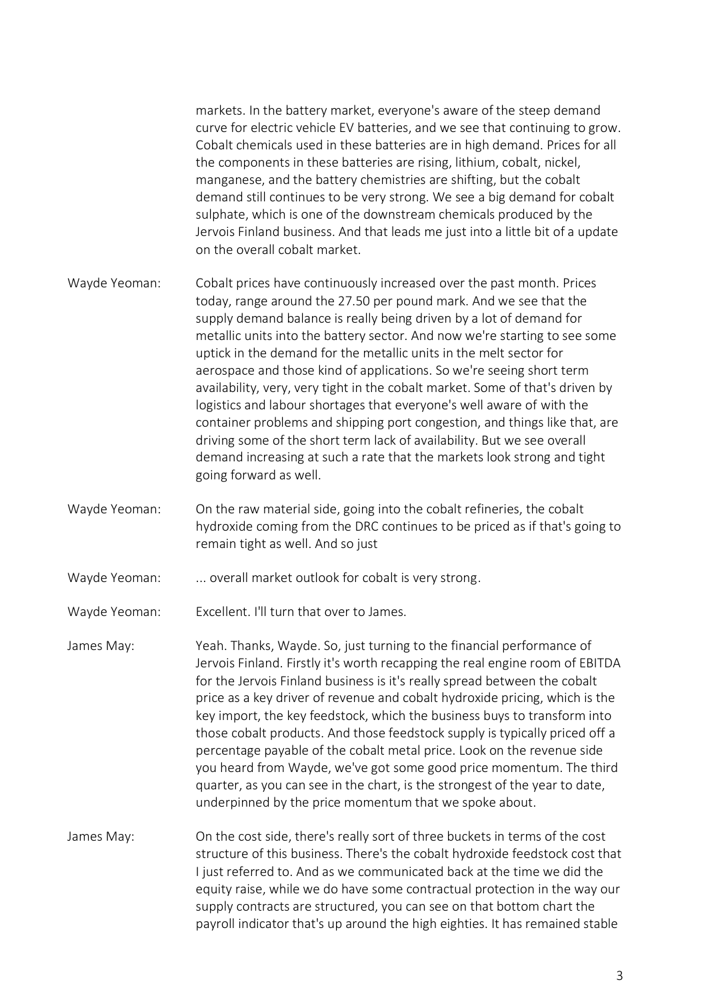markets. In the battery market, everyone's aware of the steep demand curve for electric vehicle EV batteries, and we see that continuing to grow. Cobalt chemicals used in these batteries are in high demand. Prices for all the components in these batteries are rising, lithium, cobalt, nickel, manganese, and the battery chemistries are shifting, but the cobalt demand still continues to be very strong. We see a big demand for cobalt sulphate, which is one of the downstream chemicals produced by the Jervois Finland business. And that leads me just into a little bit of a update on the overall cobalt market.

- Wayde Yeoman: Cobalt prices have continuously increased over the past month. Prices today, range around the 27.50 per pound mark. And we see that the supply demand balance is really being driven by a lot of demand for metallic units into the battery sector. And now we're starting to see some uptick in the demand for the metallic units in the melt sector for aerospace and those kind of applications. So we're seeing short term availability, very, very tight in the cobalt market. Some of that's driven by logistics and labour shortages that everyone's well aware of with the container problems and shipping port congestion, and things like that, are driving some of the short term lack of availability. But we see overall demand increasing at such a rate that the markets look strong and tight going forward as well.
- Wayde Yeoman: On the raw material side, going into the cobalt refineries, the cobalt hydroxide coming from the DRC continues to be priced as if that's going to remain tight as well. And so just
- Wayde Yeoman: ... overall market outlook for cobalt is very strong.
- Wayde Yeoman: Excellent. I'll turn that over to James.
- James May: Yeah. Thanks, Wayde. So, just turning to the financial performance of Jervois Finland. Firstly it's worth recapping the real engine room of EBITDA for the Jervois Finland business is it's really spread between the cobalt price as a key driver of revenue and cobalt hydroxide pricing, which is the key import, the key feedstock, which the business buys to transform into those cobalt products. And those feedstock supply is typically priced off a percentage payable of the cobalt metal price. Look on the revenue side you heard from Wayde, we've got some good price momentum. The third quarter, as you can see in the chart, is the strongest of the year to date, underpinned by the price momentum that we spoke about.
- James May: On the cost side, there's really sort of three buckets in terms of the cost structure of this business. There's the cobalt hydroxide feedstock cost that I just referred to. And as we communicated back at the time we did the equity raise, while we do have some contractual protection in the way our supply contracts are structured, you can see on that bottom chart the payroll indicator that's up around the high eighties. It has remained stable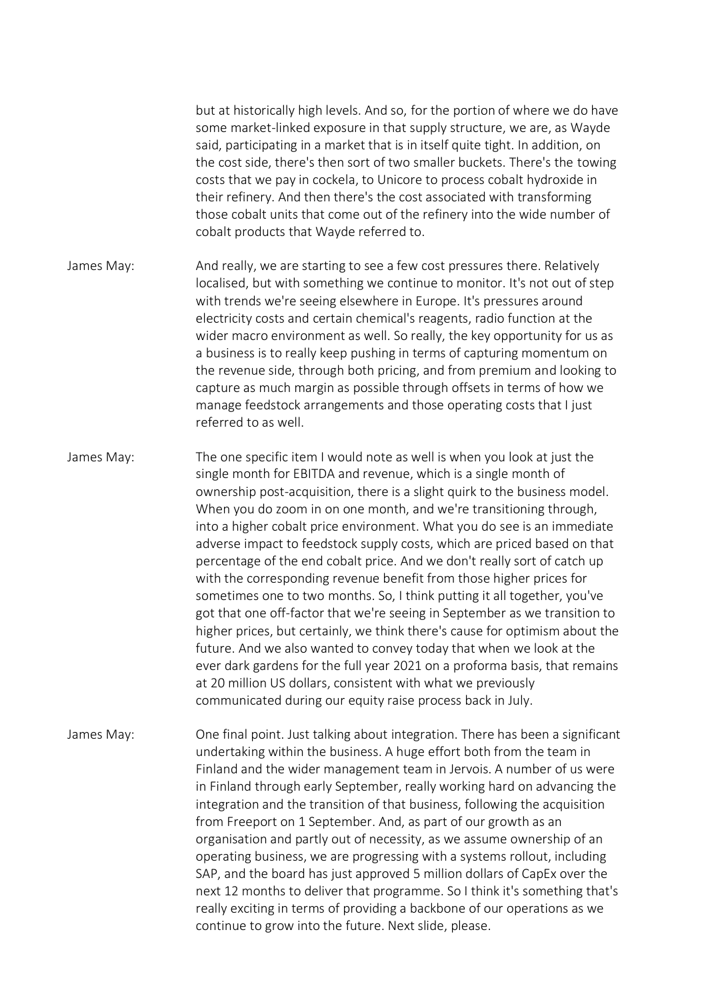but at historically high levels. And so, for the portion of where we do have some market-linked exposure in that supply structure, we are, as Wayde said, participating in a market that is in itself quite tight. In addition, on the cost side, there's then sort of two smaller buckets. There's the towing costs that we pay in cockela, to Unicore to process cobalt hydroxide in their refinery. And then there's the cost associated with transforming those cobalt units that come out of the refinery into the wide number of cobalt products that Wayde referred to.

- James May: And really, we are starting to see a few cost pressures there. Relatively localised, but with something we continue to monitor. It's not out of step with trends we're seeing elsewhere in Europe. It's pressures around electricity costs and certain chemical's reagents, radio function at the wider macro environment as well. So really, the key opportunity for us as a business is to really keep pushing in terms of capturing momentum on the revenue side, through both pricing, and from premium and looking to capture as much margin as possible through offsets in terms of how we manage feedstock arrangements and those operating costs that I just referred to as well.
- James May: The one specific item I would note as well is when you look at just the single month for EBITDA and revenue, which is a single month of ownership post-acquisition, there is a slight quirk to the business model. When you do zoom in on one month, and we're transitioning through, into a higher cobalt price environment. What you do see is an immediate adverse impact to feedstock supply costs, which are priced based on that percentage of the end cobalt price. And we don't really sort of catch up with the corresponding revenue benefit from those higher prices for sometimes one to two months. So, I think putting it all together, you've got that one off-factor that we're seeing in September as we transition to higher prices, but certainly, we think there's cause for optimism about the future. And we also wanted to convey today that when we look at the ever dark gardens for the full year 2021 on a proforma basis, that remains at 20 million US dollars, consistent with what we previously communicated during our equity raise process back in July.
- James May: One final point. Just talking about integration. There has been a significant undertaking within the business. A huge effort both from the team in Finland and the wider management team in Jervois. A number of us were in Finland through early September, really working hard on advancing the integration and the transition of that business, following the acquisition from Freeport on 1 September. And, as part of our growth as an organisation and partly out of necessity, as we assume ownership of an operating business, we are progressing with a systems rollout, including SAP, and the board has just approved 5 million dollars of CapEx over the next 12 months to deliver that programme. So I think it's something that's really exciting in terms of providing a backbone of our operations as we continue to grow into the future. Next slide, please.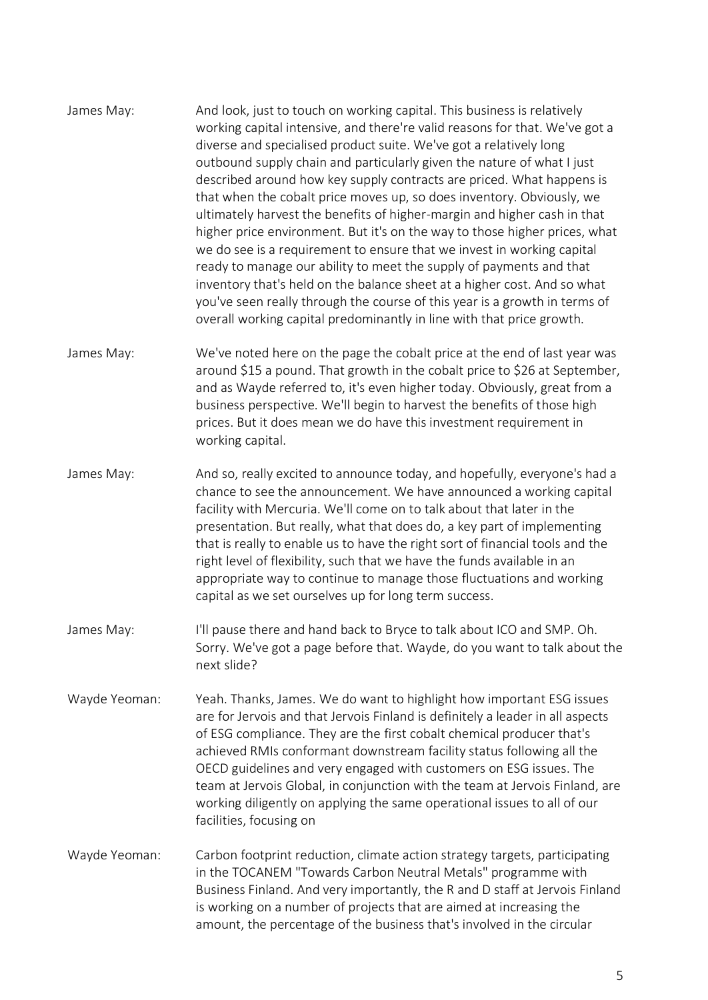- James May: And look, just to touch on working capital. This business is relatively working capital intensive, and there're valid reasons for that. We've got a diverse and specialised product suite. We've got a relatively long outbound supply chain and particularly given the nature of what I just described around how key supply contracts are priced. What happens is that when the cobalt price moves up, so does inventory. Obviously, we ultimately harvest the benefits of higher-margin and higher cash in that higher price environment. But it's on the way to those higher prices, what we do see is a requirement to ensure that we invest in working capital ready to manage our ability to meet the supply of payments and that inventory that's held on the balance sheet at a higher cost. And so what you've seen really through the course of this year is a growth in terms of overall working capital predominantly in line with that price growth.
- James May: We've noted here on the page the cobalt price at the end of last year was around \$15 a pound. That growth in the cobalt price to \$26 at September, and as Wayde referred to, it's even higher today. Obviously, great from a business perspective. We'll begin to harvest the benefits of those high prices. But it does mean we do have this investment requirement in working capital.
- James May: And so, really excited to announce today, and hopefully, everyone's had a chance to see the announcement. We have announced a working capital facility with Mercuria. We'll come on to talk about that later in the presentation. But really, what that does do, a key part of implementing that is really to enable us to have the right sort of financial tools and the right level of flexibility, such that we have the funds available in an appropriate way to continue to manage those fluctuations and working capital as we set ourselves up for long term success.
- James May: I'll pause there and hand back to Bryce to talk about ICO and SMP. Oh. Sorry. We've got a page before that. Wayde, do you want to talk about the next slide?
- Wayde Yeoman: Yeah. Thanks, James. We do want to highlight how important ESG issues are for Jervois and that Jervois Finland is definitely a leader in all aspects of ESG compliance. They are the first cobalt chemical producer that's achieved RMIs conformant downstream facility status following all the OECD guidelines and very engaged with customers on ESG issues. The team at Jervois Global, in conjunction with the team at Jervois Finland, are working diligently on applying the same operational issues to all of our facilities, focusing on
- Wayde Yeoman: Carbon footprint reduction, climate action strategy targets, participating in the TOCANEM "Towards Carbon Neutral Metals" programme with Business Finland. And very importantly, the R and D staff at Jervois Finland is working on a number of projects that are aimed at increasing the amount, the percentage of the business that's involved in the circular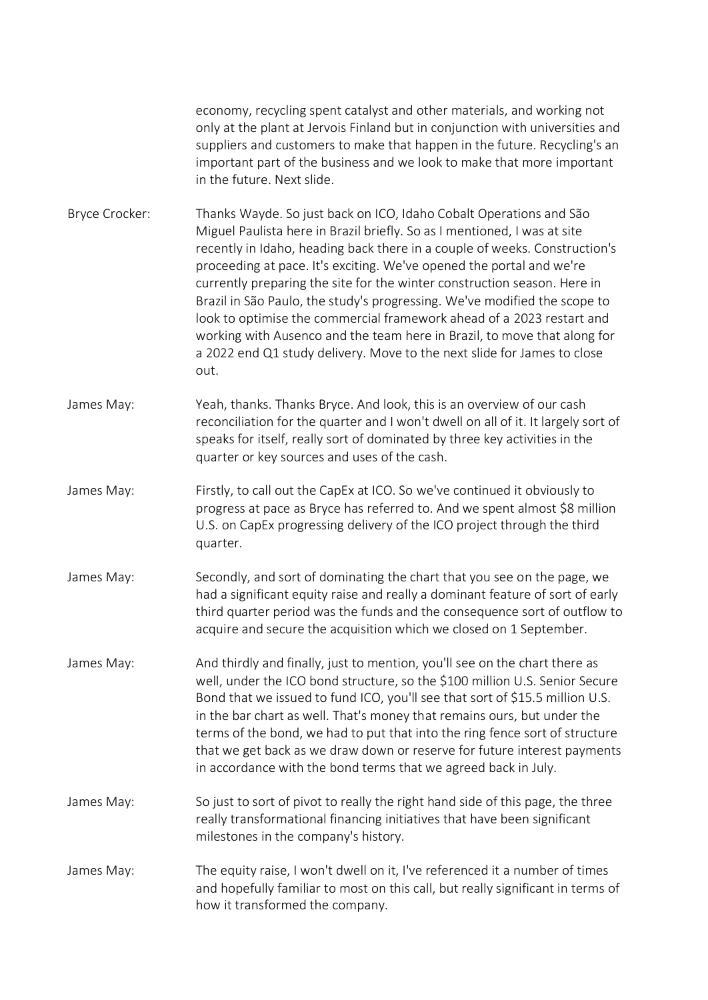economy, recycling spent catalyst and other materials, and working not only at the plant at Jervois Finland but in conjunction with universities and suppliers and customers to make that happen in the future. Recycling's an important part of the business and we look to make that more important in the future. Next slide.

Bryce Crocker: Thanks Wayde. So just back on ICO, Idaho Cobalt Operations and São Miguel Paulista here in Brazil briefly. So as I mentioned, I was at site recently in Idaho, heading back there in a couple of weeks. Construction's proceeding at pace. It's exciting. We've opened the portal and we're currently preparing the site for the winter construction season. Here in Brazil in São Paulo, the study's progressing. We've modified the scope to look to optimise the commercial framework ahead of a 2023 restart and working with Ausenco and the team here in Brazil, to move that along for a 2022 end Q1 study delivery. Move to the next slide for James to close out.

James May: Yeah, thanks. Thanks Bryce. And look, this is an overview of our cash reconciliation for the quarter and I won't dwell on all of it. It largely sort of speaks for itself, really sort of dominated by three key activities in the quarter or key sources and uses of the cash.

- James May: Firstly, to call out the CapEx at ICO. So we've continued it obviously to progress at pace as Bryce has referred to. And we spent almost \$8 million U.S. on CapEx progressing delivery of the ICO project through the third quarter.
- James May: Secondly, and sort of dominating the chart that you see on the page, we had a significant equity raise and really a dominant feature of sort of early third quarter period was the funds and the consequence sort of outflow to acquire and secure the acquisition which we closed on 1 September.
- James May: And thirdly and finally, just to mention, you'll see on the chart there as well, under the ICO bond structure, so the \$100 million U.S. Senior Secure Bond that we issued to fund ICO, you'll see that sort of \$15.5 million U.S. in the bar chart as well. That's money that remains ours, but under the terms of the bond, we had to put that into the ring fence sort of structure that we get back as we draw down or reserve for future interest payments in accordance with the bond terms that we agreed back in July.
- James May: So just to sort of pivot to really the right hand side of this page, the three really transformational financing initiatives that have been significant milestones in the company's history.

James May: The equity raise, I won't dwell on it, I've referenced it a number of times and hopefully familiar to most on this call, but really significant in terms of how it transformed the company.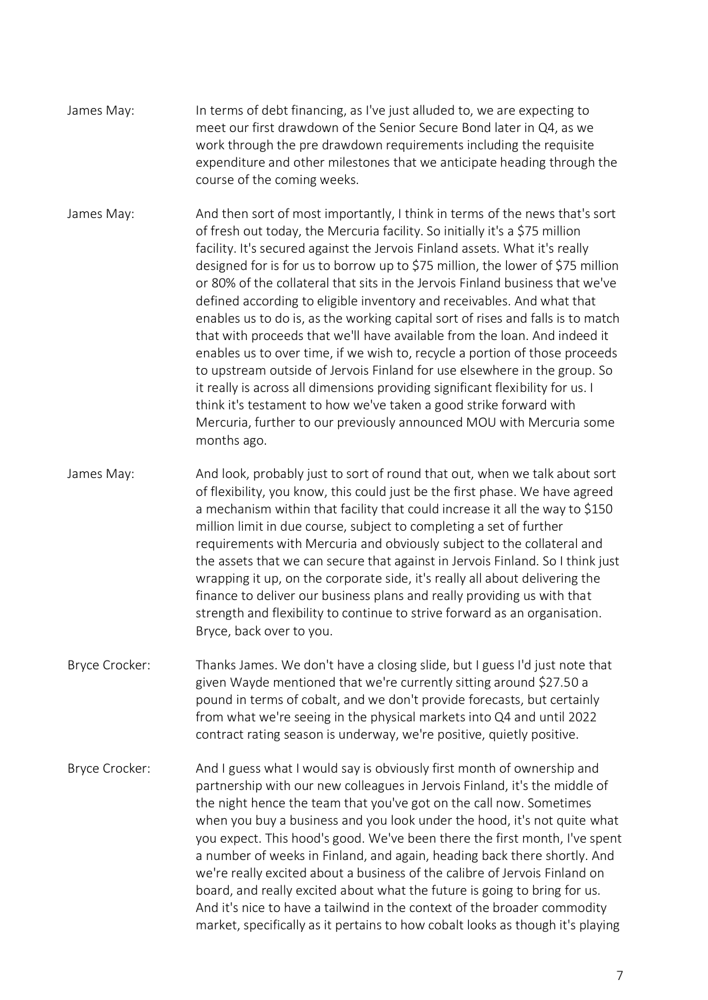- James May: In terms of debt financing, as I've just alluded to, we are expecting to meet our first drawdown of the Senior Secure Bond later in Q4, as we work through the pre drawdown requirements including the requisite expenditure and other milestones that we anticipate heading through the course of the coming weeks.
- James May: And then sort of most importantly, I think in terms of the news that's sort of fresh out today, the Mercuria facility. So initially it's a \$75 million facility. It's secured against the Jervois Finland assets. What it's really designed for is for us to borrow up to \$75 million, the lower of \$75 million or 80% of the collateral that sits in the Jervois Finland business that we've defined according to eligible inventory and receivables. And what that enables us to do is, as the working capital sort of rises and falls is to match that with proceeds that we'll have available from the loan. And indeed it enables us to over time, if we wish to, recycle a portion of those proceeds to upstream outside of Jervois Finland for use elsewhere in the group. So it really is across all dimensions providing significant flexibility for us. I think it's testament to how we've taken a good strike forward with Mercuria, further to our previously announced MOU with Mercuria some months ago.
- James May: And look, probably just to sort of round that out, when we talk about sort of flexibility, you know, this could just be the first phase. We have agreed a mechanism within that facility that could increase it all the way to \$150 million limit in due course, subject to completing a set of further requirements with Mercuria and obviously subject to the collateral and the assets that we can secure that against in Jervois Finland. So I think just wrapping it up, on the corporate side, it's really all about delivering the finance to deliver our business plans and really providing us with that strength and flexibility to continue to strive forward as an organisation. Bryce, back over to you.
- Bryce Crocker: Thanks James. We don't have a closing slide, but I guess I'd just note that given Wayde mentioned that we're currently sitting around \$27.50 a pound in terms of cobalt, and we don't provide forecasts, but certainly from what we're seeing in the physical markets into Q4 and until 2022 contract rating season is underway, we're positive, quietly positive.
- Bryce Crocker: And I guess what I would say is obviously first month of ownership and partnership with our new colleagues in Jervois Finland, it's the middle of the night hence the team that you've got on the call now. Sometimes when you buy a business and you look under the hood, it's not quite what you expect. This hood's good. We've been there the first month, I've spent a number of weeks in Finland, and again, heading back there shortly. And we're really excited about a business of the calibre of Jervois Finland on board, and really excited about what the future is going to bring for us. And it's nice to have a tailwind in the context of the broader commodity market, specifically as it pertains to how cobalt looks as though it's playing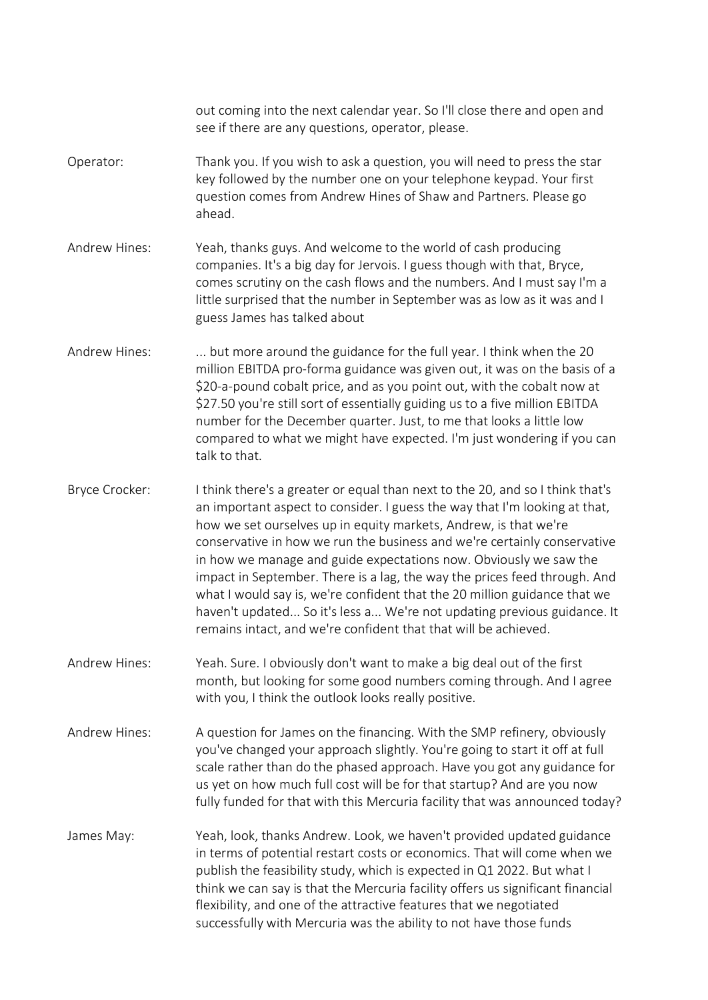out coming into the next calendar year. So I'll close there and open and see if there are any questions, operator, please. Operator: Thank you. If you wish to ask a question, you will need to press the star key followed by the number one on your telephone keypad. Your first question comes from Andrew Hines of Shaw and Partners. Please go ahead. Andrew Hines: Yeah, thanks guys. And welcome to the world of cash producing companies. It's a big day for Jervois. I guess though with that, Bryce, comes scrutiny on the cash flows and the numbers. And I must say I'm a little surprised that the number in September was as low as it was and I guess James has talked about Andrew Hines: ... but more around the guidance for the full year. I think when the 20 million EBITDA pro-forma guidance was given out, it was on the basis of a \$20-a-pound cobalt price, and as you point out, with the cobalt now at \$27.50 you're still sort of essentially guiding us to a five million EBITDA number for the December quarter. Just, to me that looks a little low compared to what we might have expected. I'm just wondering if you can talk to that. Bryce Crocker: I think there's a greater or equal than next to the 20, and so I think that's an important aspect to consider. I guess the way that I'm looking at that, how we set ourselves up in equity markets, Andrew, is that we're conservative in how we run the business and we're certainly conservative in how we manage and guide expectations now. Obviously we saw the impact in September. There is a lag, the way the prices feed through. And what I would say is, we're confident that the 20 million guidance that we haven't updated... So it's less a... We're not updating previous guidance. It remains intact, and we're confident that that will be achieved. Andrew Hines: Yeah. Sure. I obviously don't want to make a big deal out of the first month, but looking for some good numbers coming through. And I agree with you, I think the outlook looks really positive. Andrew Hines: A question for James on the financing. With the SMP refinery, obviously you've changed your approach slightly. You're going to start it off at full scale rather than do the phased approach. Have you got any guidance for us yet on how much full cost will be for that startup? And are you now fully funded for that with this Mercuria facility that was announced today? James May: Yeah, look, thanks Andrew. Look, we haven't provided updated guidance in terms of potential restart costs or economics. That will come when we publish the feasibility study, which is expected in Q1 2022. But what I think we can say is that the Mercuria facility offers us significant financial flexibility, and one of the attractive features that we negotiated successfully with Mercuria was the ability to not have those funds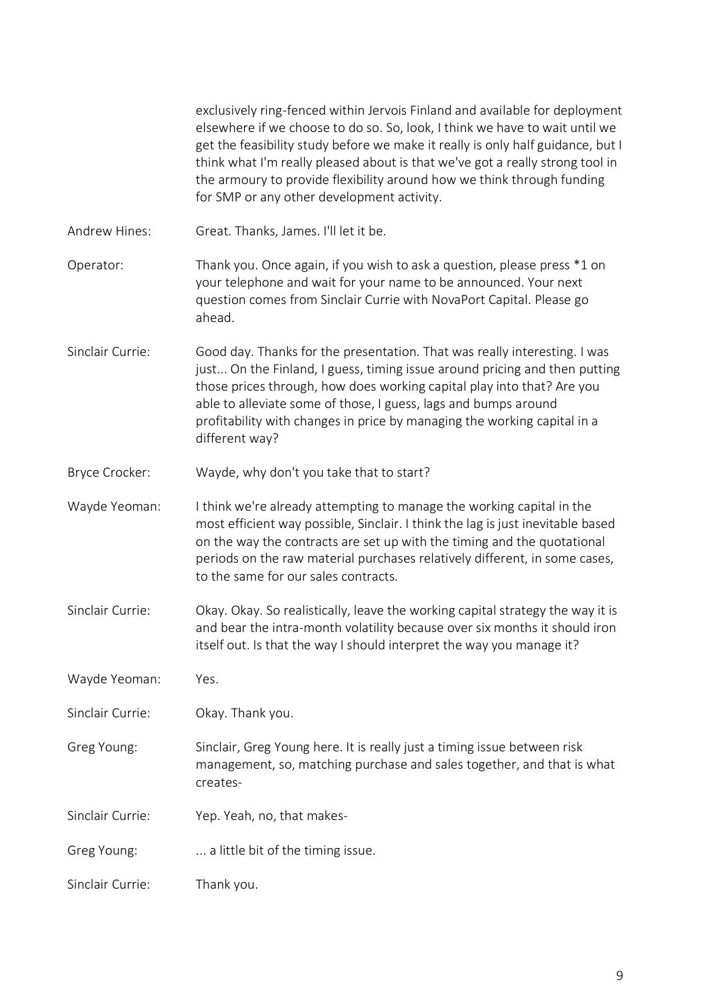|                  | exclusively ring-fenced within Jervois Finland and available for deployment<br>elsewhere if we choose to do so. So, look, I think we have to wait until we<br>get the feasibility study before we make it really is only half guidance, but I<br>think what I'm really pleased about is that we've got a really strong tool in<br>the armoury to provide flexibility around how we think through funding<br>for SMP or any other development activity. |
|------------------|--------------------------------------------------------------------------------------------------------------------------------------------------------------------------------------------------------------------------------------------------------------------------------------------------------------------------------------------------------------------------------------------------------------------------------------------------------|
| Andrew Hines:    | Great. Thanks, James. I'll let it be.                                                                                                                                                                                                                                                                                                                                                                                                                  |
| Operator:        | Thank you. Once again, if you wish to ask a question, please press *1 on<br>your telephone and wait for your name to be announced. Your next<br>question comes from Sinclair Currie with NovaPort Capital. Please go<br>ahead.                                                                                                                                                                                                                         |
| Sinclair Currie: | Good day. Thanks for the presentation. That was really interesting. I was<br>just On the Finland, I guess, timing issue around pricing and then putting<br>those prices through, how does working capital play into that? Are you<br>able to alleviate some of those, I guess, lags and bumps around<br>profitability with changes in price by managing the working capital in a<br>different way?                                                     |
| Bryce Crocker:   | Wayde, why don't you take that to start?                                                                                                                                                                                                                                                                                                                                                                                                               |
| Wayde Yeoman:    | I think we're already attempting to manage the working capital in the<br>most efficient way possible, Sinclair. I think the lag is just inevitable based<br>on the way the contracts are set up with the timing and the quotational<br>periods on the raw material purchases relatively different, in some cases,<br>to the same for our sales contracts.                                                                                              |
| Sinclair Currie: | Okay. Okay. So realistically, leave the working capital strategy the way it is<br>and bear the intra-month volatility because over six months it should iron<br>itself out. Is that the way I should interpret the way you manage it?                                                                                                                                                                                                                  |
| Wayde Yeoman:    | Yes.                                                                                                                                                                                                                                                                                                                                                                                                                                                   |
| Sinclair Currie: | Okay. Thank you.                                                                                                                                                                                                                                                                                                                                                                                                                                       |
| Greg Young:      | Sinclair, Greg Young here. It is really just a timing issue between risk<br>management, so, matching purchase and sales together, and that is what<br>creates-                                                                                                                                                                                                                                                                                         |
| Sinclair Currie: | Yep. Yeah, no, that makes-                                                                                                                                                                                                                                                                                                                                                                                                                             |
| Greg Young:      | a little bit of the timing issue.                                                                                                                                                                                                                                                                                                                                                                                                                      |
| Sinclair Currie: | Thank you.                                                                                                                                                                                                                                                                                                                                                                                                                                             |